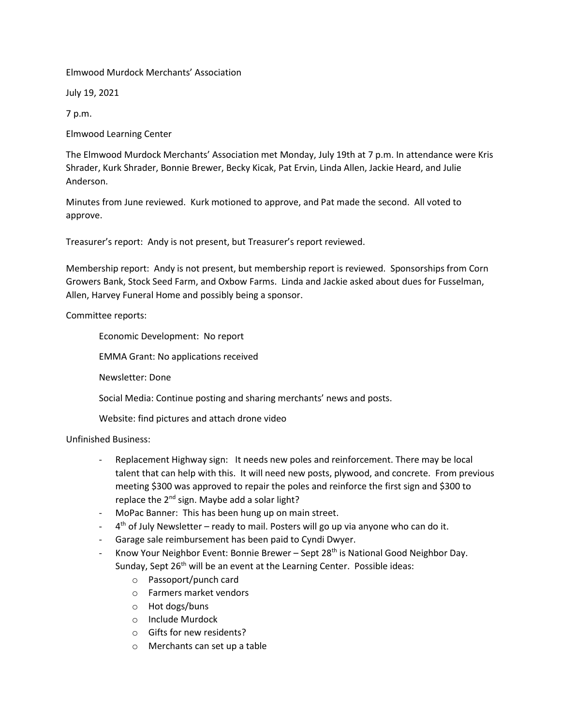Elmwood Murdock Merchants' Association

July 19, 2021

7 p.m.

Elmwood Learning Center

The Elmwood Murdock Merchants' Association met Monday, July 19th at 7 p.m. In attendance were Kris Shrader, Kurk Shrader, Bonnie Brewer, Becky Kicak, Pat Ervin, Linda Allen, Jackie Heard, and Julie Anderson.

Minutes from June reviewed. Kurk motioned to approve, and Pat made the second. All voted to approve.

Treasurer's report: Andy is not present, but Treasurer's report reviewed.

Membership report: Andy is not present, but membership report is reviewed. Sponsorships from Corn Growers Bank, Stock Seed Farm, and Oxbow Farms. Linda and Jackie asked about dues for Fusselman, Allen, Harvey Funeral Home and possibly being a sponsor.

Committee reports:

Economic Development: No report

EMMA Grant: No applications received

Newsletter: Done

Social Media: Continue posting and sharing merchants' news and posts.

Website: find pictures and attach drone video

## Unfinished Business:

- Replacement Highway sign: It needs new poles and reinforcement. There may be local talent that can help with this. It will need new posts, plywood, and concrete. From previous meeting \$300 was approved to repair the poles and reinforce the first sign and \$300 to replace the  $2^{nd}$  sign. Maybe add a solar light?
- MoPac Banner: This has been hung up on main street.
- 4<sup>th</sup> of July Newsletter ready to mail. Posters will go up via anyone who can do it.
- Garage sale reimbursement has been paid to Cyndi Dwyer.
- Know Your Neighbor Event: Bonnie Brewer Sept 28<sup>th</sup> is National Good Neighbor Day. Sunday, Sept 26<sup>th</sup> will be an event at the Learning Center. Possible ideas:
	- o Passoport/punch card
	- o Farmers market vendors
	- o Hot dogs/buns
	- o Include Murdock
	- o Gifts for new residents?
	- o Merchants can set up a table